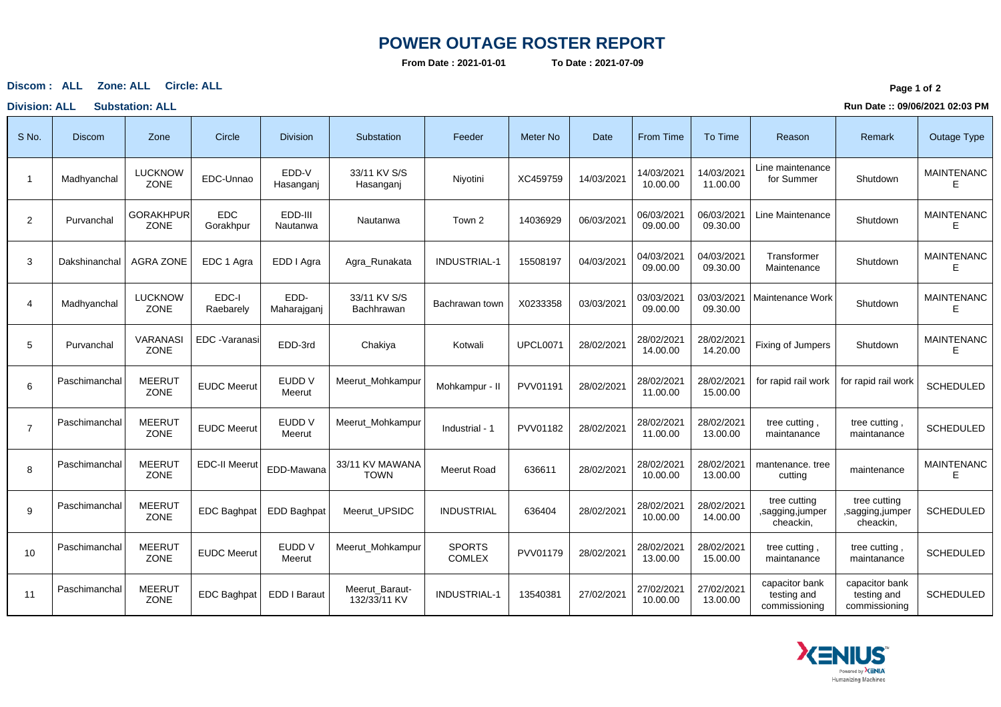## **POWER OUTAGE ROSTER REPORT**

**From Date : 2021-01-01**

**To Date : 2021-07-09**

**ALL Zone: ALL Circle: ALLDiscom :**

**Division: ALL Substation: ALL**

**Page 1 of <sup>2</sup>**

**Run Date :: 09/06/2021 02:03 PM**

| S No.          | <b>Discom</b> | Zone                           | Circle                  | <b>Division</b>     | Substation                     | Feeder                         | <b>Meter No</b> | Date       | From Time              | To Time                | Reason                                         | Remark                                         | Outage Type            |
|----------------|---------------|--------------------------------|-------------------------|---------------------|--------------------------------|--------------------------------|-----------------|------------|------------------------|------------------------|------------------------------------------------|------------------------------------------------|------------------------|
| -1             | Madhyanchal   | <b>LUCKNOW</b><br>ZONE         | EDC-Unnao               | EDD-V<br>Hasanganj  | 33/11 KV S/S<br>Hasanganj      | Niyotini                       | XC459759        | 14/03/2021 | 14/03/2021<br>10.00.00 | 14/03/2021<br>11.00.00 | Line maintenance<br>for Summer                 | Shutdown                                       | <b>MAINTENANC</b><br>E |
| $\overline{2}$ | Purvanchal    | <b>GORAKHPUR</b><br>ZONE       | <b>EDC</b><br>Gorakhpur | EDD-III<br>Nautanwa | Nautanwa                       | Town 2                         | 14036929        | 06/03/2021 | 06/03/2021<br>09.00.00 | 06/03/2021<br>09.30.00 | Line Maintenance                               | Shutdown                                       | <b>MAINTENANC</b><br>Е |
| 3              | Dakshinanchal | <b>AGRA ZONE</b>               | EDC 1 Agra              | EDD I Agra          | Agra Runakata                  | <b>INDUSTRIAL-1</b>            | 15508197        | 04/03/2021 | 04/03/2021<br>09.00.00 | 04/03/2021<br>09.30.00 | Transformer<br>Maintenance                     | Shutdown                                       | <b>MAINTENANC</b><br>E |
| $\overline{4}$ | Madhyanchal   | <b>LUCKNOW</b><br><b>ZONE</b>  | EDC-I<br>Raebarely      | EDD-<br>Maharajganj | 33/11 KV S/S<br>Bachhrawan     | Bachrawan town                 | X0233358        | 03/03/2021 | 03/03/2021<br>09.00.00 | 03/03/2021<br>09.30.00 | Maintenance Work                               | Shutdown                                       | <b>MAINTENANC</b><br>F |
| 5              | Purvanchal    | <b>VARANASI</b><br><b>ZONE</b> | EDC - Varanasi          | EDD-3rd             | Chakiya                        | Kotwali                        | <b>UPCL0071</b> | 28/02/2021 | 28/02/2021<br>14.00.00 | 28/02/2021<br>14.20.00 | Fixing of Jumpers                              | Shutdown                                       | <b>MAINTENANC</b><br>F |
| 6              | Paschimanchal | <b>MEERUT</b><br>ZONE          | <b>EUDC Meerut</b>      | EUDD V<br>Meerut    | Meerut Mohkampur               | Mohkampur - II                 | PVV01191        | 28/02/2021 | 28/02/2021<br>11.00.00 | 28/02/2021<br>15.00.00 | for rapid rail work                            | for rapid rail work                            | <b>SCHEDULED</b>       |
| $\overline{7}$ | Paschimanchal | <b>MEERUT</b><br>ZONE          | <b>EUDC Meerut</b>      | EUDD V<br>Meerut    | Meerut Mohkampur               | Industrial - 1                 | PVV01182        | 28/02/2021 | 28/02/2021<br>11.00.00 | 28/02/2021<br>13.00.00 | tree cutting,<br>maintanance                   | tree cutting<br>maintanance                    | <b>SCHEDULED</b>       |
| 8              | Paschimanchal | <b>MEERUT</b><br>ZONE          | <b>EDC-II Meerut</b>    | EDD-Mawana          | 33/11 KV MAWANA<br><b>TOWN</b> | Meerut Road                    | 636611          | 28/02/2021 | 28/02/2021<br>10.00.00 | 28/02/2021<br>13.00.00 | mantenance, tree<br>cutting                    | maintenance                                    | <b>MAINTENANC</b><br>E |
| 9              | Paschimanchal | <b>MEERUT</b><br>ZONE          | <b>EDC Baghpat</b>      | <b>EDD Baghpat</b>  | Meerut UPSIDC                  | <b>INDUSTRIAL</b>              | 636404          | 28/02/2021 | 28/02/2021<br>10.00.00 | 28/02/2021<br>14.00.00 | tree cutting<br>,sagging,jumper<br>cheackin,   | tree cutting<br>,sagging,jumper<br>cheackin,   | SCHEDULED              |
| 10             | Paschimanchal | <b>MEERUT</b><br>ZONE          | <b>EUDC Meerut</b>      | EUDD V<br>Meerut    | Meerut Mohkampur               | <b>SPORTS</b><br><b>COMLEX</b> | PVV01179        | 28/02/2021 | 28/02/2021<br>13.00.00 | 28/02/2021<br>15.00.00 | tree cutting,<br>maintanance                   | tree cutting<br>maintanance                    | <b>SCHEDULED</b>       |
| 11             | Paschimanchal | <b>MEERUT</b><br>ZONE          | <b>EDC Baghpat</b>      | EDD I Baraut        | Meerut_Baraut-<br>132/33/11 KV | <b>INDUSTRIAL-1</b>            | 13540381        | 27/02/2021 | 27/02/2021<br>10.00.00 | 27/02/2021<br>13.00.00 | capacitor bank<br>testing and<br>commissioning | capacitor bank<br>testing and<br>commissioning | <b>SCHEDULED</b>       |